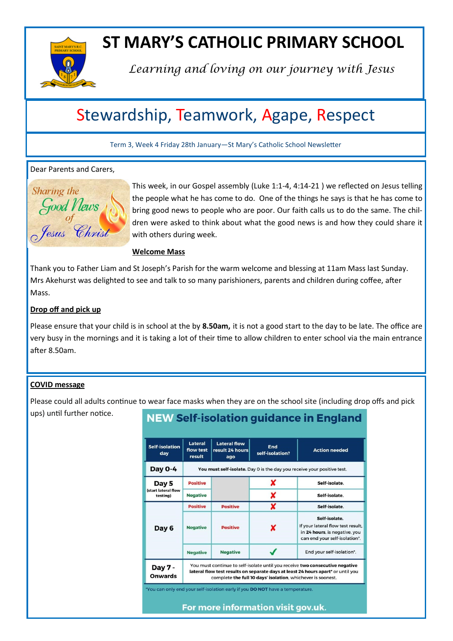

## **ST MARY'S CATHOLIC PRIMARY SCHOOL**

*Learning and loving on our journey with Jesus*

### Stewardship, Teamwork, Agape, Respect

Term 3, Week 4 Friday 28th January—St Mary's Catholic School Newsletter

#### Dear Parents and Carers,



This week, in our Gospel assembly (Luke 1:1-4, 4:14-21 ) we reflected on Jesus telling the people what he has come to do. One of the things he says is that he has come to bring good news to people who are poor. Our faith calls us to do the same. The children were asked to think about what the good news is and how they could share it with others during week.

**Welcome Mass**

Thank you to Father Liam and St Joseph's Parish for the warm welcome and blessing at 11am Mass last Sunday. Mrs Akehurst was delighted to see and talk to so many parishioners, parents and children during coffee, after Mass.

#### **Drop off and pick up**

Please ensure that your child is in school at the by **8.50am,** it is not a good start to the day to be late. The office are very busy in the mornings and it is taking a lot of their time to allow children to enter school via the main entrance after 8.50am.

#### **COVID message**

Please could all adults continue to wear face masks when they are on the school site (including drop offs and pick ups) until further notice.

| <u>NEW Self-isolation guidance in England</u> |                                                                                                                                                                                                                                 |                                               |                                                                               |                                                                                                                      |  |
|-----------------------------------------------|---------------------------------------------------------------------------------------------------------------------------------------------------------------------------------------------------------------------------------|-----------------------------------------------|-------------------------------------------------------------------------------|----------------------------------------------------------------------------------------------------------------------|--|
| <b>Self-isolation</b><br>day                  | Lateral<br>flow test<br>result                                                                                                                                                                                                  | <b>Lateral flow</b><br>result 24 hours<br>ago | End<br>self-isolation?                                                        | <b>Action needed</b>                                                                                                 |  |
| Day 0-4                                       | You must self-isolate. Day 0 is the day you receive your positive test.                                                                                                                                                         |                                               |                                                                               |                                                                                                                      |  |
| Day 5<br>(start lateral flow<br>testing)      | <b>Positive</b>                                                                                                                                                                                                                 |                                               | x                                                                             | Self-isolate.                                                                                                        |  |
|                                               | <b>Negative</b>                                                                                                                                                                                                                 |                                               | X                                                                             | Self-isolate.                                                                                                        |  |
| Day 6                                         | <b>Positive</b>                                                                                                                                                                                                                 | <b>Positive</b>                               | X                                                                             | Self-isolate.                                                                                                        |  |
|                                               | <b>Negative</b>                                                                                                                                                                                                                 | <b>Positive</b>                               | x                                                                             | Self-isolate.<br>If your lateral flow test result,<br>in 24 hours, is negative, you<br>can end your self-isolation*. |  |
|                                               | <b>Negative</b>                                                                                                                                                                                                                 | <b>Negative</b>                               |                                                                               | End your self-isolation*.                                                                                            |  |
| Day 7 -<br><b>Onwards</b>                     | You must continue to self-isolate until you receive two consecutive negative<br>lateral flow test results on separate days at least 24 hours apart* or until you<br>complete the full 10 days' isolation, whichever is soonest. |                                               |                                                                               |                                                                                                                      |  |
|                                               |                                                                                                                                                                                                                                 |                                               | *You can only end your self-isolation early if you DO NOT have a temperature. |                                                                                                                      |  |

For more information visit gov.uk.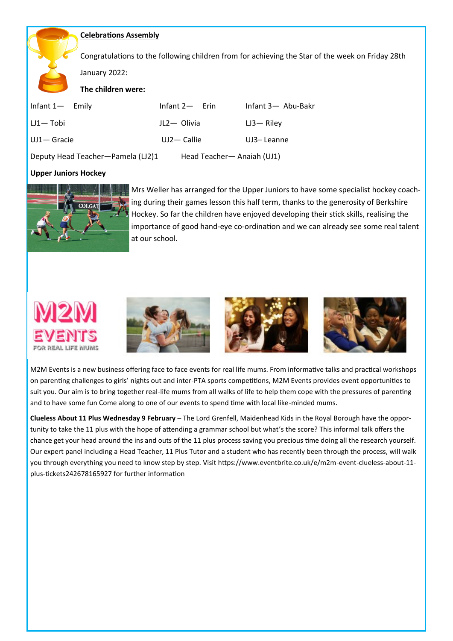#### **Celebrations Assembly**

Congratulations to the following children from for achieving the Star of the week on Friday 28th

January 2022:

**The children were:**

| Infant 1 — Emily                  | Infant $2-$ Erin | Infant 3- Abu-Bakr         |  |
|-----------------------------------|------------------|----------------------------|--|
| $LU1 - Tobi$                      | JL2- Olivia      | $L$ J3 — Rilev             |  |
| UJ1- Gracie                       | $UJ2 -$ Callie   | UJ3-Leanne                 |  |
| Deputy Head Teacher-Pamela (LJ2)1 |                  | Head Teacher- Anaiah (UJ1) |  |

#### **Upper Juniors Hockey**



Mrs Weller has arranged for the Upper Juniors to have some specialist hockey coaching during their games lesson this half term, thanks to the generosity of Berkshire Hockey. So far the children have enjoyed developing their stick skills, realising the importance of good hand-eye co-ordination and we can already see some real talent at our school.



M2M Events is a new business offering face to face events for real life mums. From informative talks and practical workshops on parenting challenges to girls' nights out and inter-PTA sports competitions, M2M Events provides event opportunities to suit you. Our aim is to bring together real-life mums from all walks of life to help them cope with the pressures of parenting and to have some fun Come along to one of our events to spend time with local like-minded mums.

**Clueless About 11 Plus Wednesday 9 February** – The Lord Grenfell, Maidenhead Kids in the Royal Borough have the opportunity to take the 11 plus with the hope of attending a grammar school but what's the score? This informal talk offers the chance get your head around the ins and outs of the 11 plus process saving you precious time doing all the research yourself. Our expert panel including a Head Teacher, 11 Plus Tutor and a student who has recently been through the process, will walk you through everything you need to know step by step. Visit https://www.eventbrite.co.uk/e/m2m-event-clueless-about-11 plus-tickets242678165927 for further information